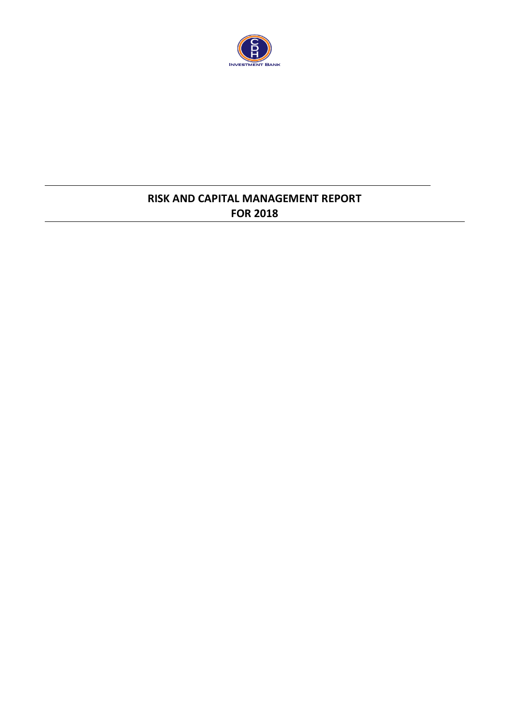

## **RISK AND CAPITAL MANAGEMENT REPORT FOR 2018**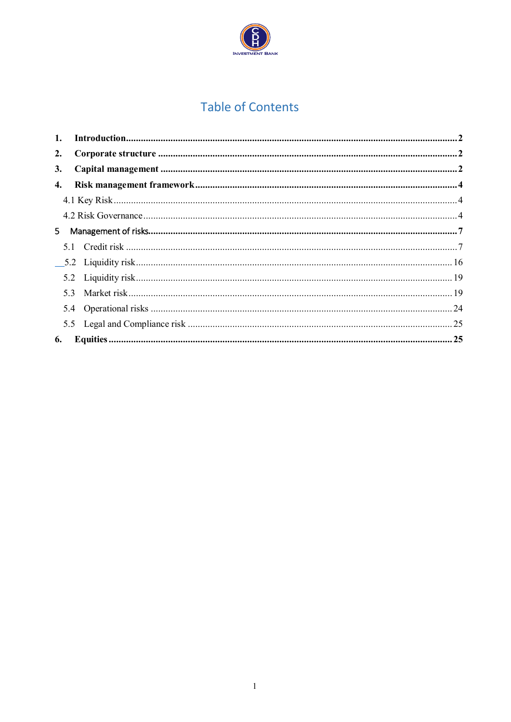

# **Table of Contents**

| 1. | In traditional. 22 |  |
|----|--------------------|--|
| 2. |                    |  |
| 3. |                    |  |
| 4. |                    |  |
|    |                    |  |
|    |                    |  |
| 5. |                    |  |
|    |                    |  |
|    |                    |  |
|    |                    |  |
|    |                    |  |
|    |                    |  |
|    |                    |  |
| 6. |                    |  |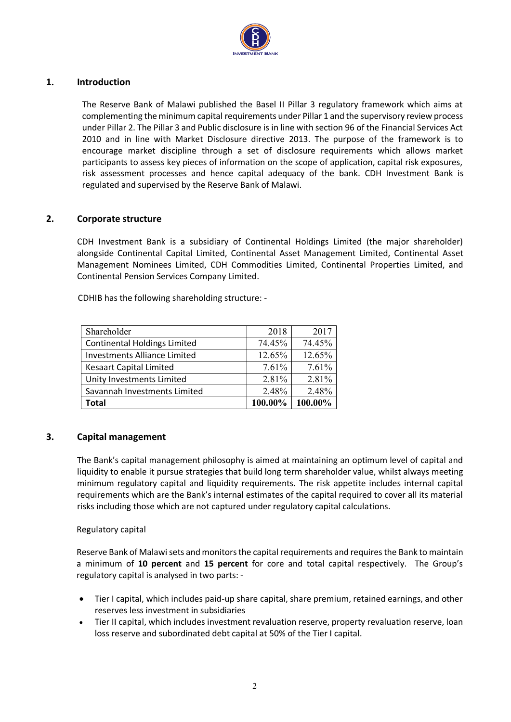

## <span id="page-2-0"></span>**1. Introduction**

The Reserve Bank of Malawi published the Basel II Pillar 3 regulatory framework which aims at complementing the minimum capital requirements under Pillar 1 and the supervisory review process under Pillar 2. The Pillar 3 and Public disclosure is in line with section 96 of the Financial Services Act 2010 and in line with Market Disclosure directive 2013. The purpose of the framework is to encourage market discipline through a set of disclosure requirements which allows market participants to assess key pieces of information on the scope of application, capital risk exposures, risk assessment processes and hence capital adequacy of the bank. CDH Investment Bank is regulated and supervised by the Reserve Bank of Malawi.

## <span id="page-2-1"></span>**2. Corporate structure**

CDH Investment Bank is a subsidiary of Continental Holdings Limited (the major shareholder) alongside Continental Capital Limited, Continental Asset Management Limited, Continental Asset Management Nominees Limited, CDH Commodities Limited, Continental Properties Limited, and Continental Pension Services Company Limited.

CDHIB has the following shareholding structure: -

| Shareholder                         | 2018    | 2017    |
|-------------------------------------|---------|---------|
| <b>Continental Holdings Limited</b> | 74.45%  | 74.45%  |
| <b>Investments Alliance Limited</b> | 12.65%  | 12.65%  |
| <b>Kesaart Capital Limited</b>      | 7.61%   | 7.61%   |
| Unity Investments Limited           | 2.81%   | 2.81%   |
| Savannah Investments Limited        | 2.48%   | 2.48%   |
| Total                               | 100.00% | 100.00% |

## <span id="page-2-2"></span>**3. Capital management**

The Bank's capital management philosophy is aimed at maintaining an optimum level of capital and liquidity to enable it pursue strategies that build long term shareholder value, whilst always meeting minimum regulatory capital and liquidity requirements. The risk appetite includes internal capital requirements which are the Bank's internal estimates of the capital required to cover all its material risks including those which are not captured under regulatory capital calculations.

#### Regulatory capital

Reserve Bank of Malawi sets and monitors the capital requirements and requires the Bank to maintain a minimum of **10 percent** and **15 percent** for core and total capital respectively. The Group's regulatory capital is analysed in two parts: -

- Tier I capital, which includes paid-up share capital, share premium, retained earnings, and other reserves less investment in subsidiaries
- Tier II capital, which includes investment revaluation reserve, property revaluation reserve, loan loss reserve and subordinated debt capital at 50% of the Tier I capital.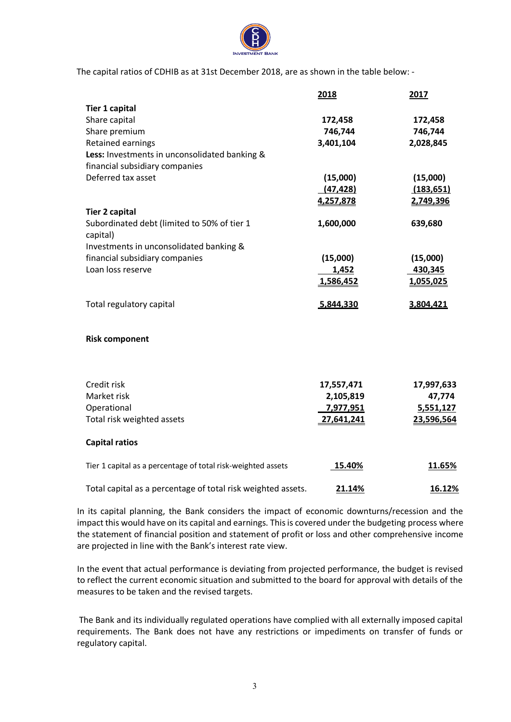

The capital ratios of CDHIB as at 31st December 2018, are as shown in the table below: -

|                                                              | 2018                    | 2017                 |
|--------------------------------------------------------------|-------------------------|----------------------|
| <b>Tier 1 capital</b>                                        |                         |                      |
| Share capital                                                | 172,458                 | 172,458              |
| Share premium                                                | 746,744                 | 746,744              |
| <b>Retained earnings</b>                                     | 3,401,104               | 2,028,845            |
| Less: Investments in unconsolidated banking &                |                         |                      |
| financial subsidiary companies                               |                         |                      |
| Deferred tax asset                                           | (15,000)                | (15,000)             |
|                                                              | (47, 428)               | (183, 651)           |
|                                                              | 4,257,878               | 2,749,396            |
| <b>Tier 2 capital</b>                                        |                         |                      |
| Subordinated debt (limited to 50% of tier 1<br>capital)      | 1,600,000               | 639,680              |
| Investments in unconsolidated banking &                      |                         |                      |
| financial subsidiary companies                               | (15,000)                | (15,000)             |
| Loan loss reserve                                            | 1,452                   | 430,345              |
|                                                              | 1,586,452               | 1,055,025            |
| Total regulatory capital                                     | 5,844,330               | 3,804,421            |
| <b>Risk component</b>                                        |                         |                      |
| Credit risk                                                  |                         |                      |
| Market risk                                                  | 17,557,471<br>2,105,819 | 17,997,633<br>47,774 |
| Operational                                                  | 7,977,951               | 5,551,127            |
| Total risk weighted assets                                   | 27,641,241              | 23,596,564           |
|                                                              |                         |                      |
| <b>Capital ratios</b>                                        |                         |                      |
| Tier 1 capital as a percentage of total risk-weighted assets | 15.40%                  | 11.65%               |
| Total capital as a percentage of total risk weighted assets. | 21.14%                  | 16.12%               |

In its capital planning, the Bank considers the impact of economic downturns/recession and the impact this would have on its capital and earnings. This is covered under the budgeting process where the statement of financial position and statement of profit or loss and other comprehensive income are projected in line with the Bank's interest rate view.

In the event that actual performance is deviating from projected performance, the budget is revised to reflect the current economic situation and submitted to the board for approval with details of the measures to be taken and the revised targets.

The Bank and its individually regulated operations have complied with all externally imposed capital requirements. The Bank does not have any restrictions or impediments on transfer of funds or regulatory capital.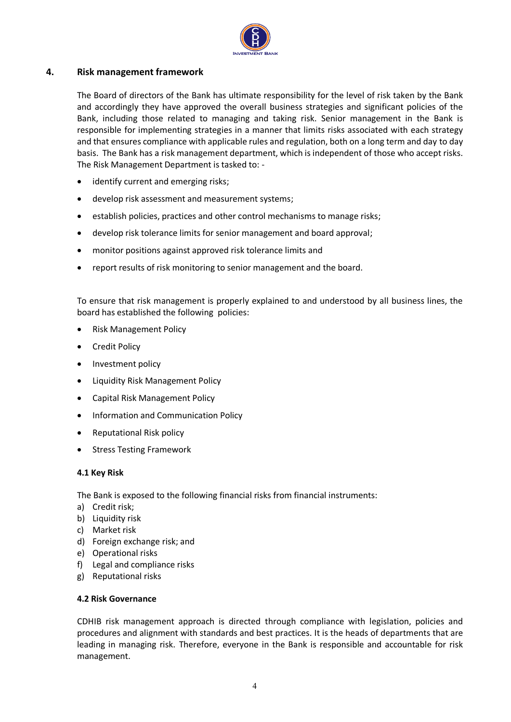

## <span id="page-4-0"></span>**4. Risk management framework**

The Board of directors of the Bank has ultimate responsibility for the level of risk taken by the Bank and accordingly they have approved the overall business strategies and significant policies of the Bank, including those related to managing and taking risk. Senior management in the Bank is responsible for implementing strategies in a manner that limits risks associated with each strategy and that ensures compliance with applicable rules and regulation, both on a long term and day to day basis. The Bank has a risk management department, which is independent of those who accept risks. The Risk Management Department is tasked to: -

- identify current and emerging risks;
- develop risk assessment and measurement systems;
- establish policies, practices and other control mechanisms to manage risks;
- develop risk tolerance limits for senior management and board approval;
- monitor positions against approved risk tolerance limits and
- report results of risk monitoring to senior management and the board.

To ensure that risk management is properly explained to and understood by all business lines, the board has established the following policies:

- Risk Management Policy
- Credit Policy
- Investment policy
- Liquidity Risk Management Policy
- Capital Risk Management Policy
- Information and Communication Policy
- Reputational Risk policy
- Stress Testing Framework

#### <span id="page-4-1"></span>**4.1 Key Risk**

The Bank is exposed to the following financial risks from financial instruments:

- a) Credit risk;
- b) Liquidity risk
- c) Market risk
- d) Foreign exchange risk; and
- e) Operational risks
- f) Legal and compliance risks
- g) Reputational risks

#### <span id="page-4-2"></span>**4.2 Risk Governance**

CDHIB risk management approach is directed through compliance with legislation, policies and procedures and alignment with standards and best practices. It is the heads of departments that are leading in managing risk. Therefore, everyone in the Bank is responsible and accountable for risk management.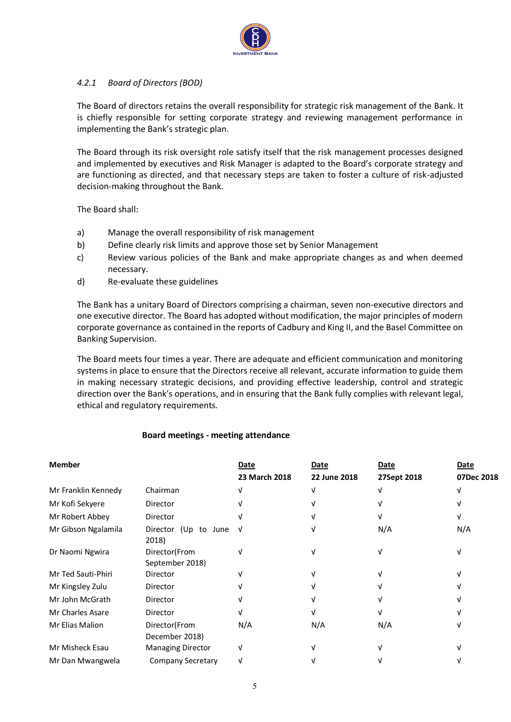

## *4.2.1 Board of Directors (BOD)*

The Board of directors retains the overall responsibility for strategic risk management of the Bank. It is chiefly responsible for setting corporate strategy and reviewing management performance in implementing the Bank's strategic plan.

The Board through its risk oversight role satisfy itself that the risk management processes designed and implemented by executives and Risk Manager is adapted to the Board's corporate strategy and are functioning as directed, and that necessary steps are taken to foster a culture of risk-adjusted decision-making throughout the Bank.

The Board shall:

- a) Manage the overall responsibility of risk management
- b) Define clearly risk limits and approve those set by Senior Management
- c) Review various policies of the Bank and make appropriate changes as and when deemed necessary.
- d) Re-evaluate these guidelines

The Bank has a unitary Board of Directors comprising a chairman, seven non-executive directors and one executive director. The Board has adopted without modification, the major principles of modern corporate governance as contained in the reports of Cadbury and King II, and the Basel Committee on Banking Supervision.

The Board meets four times a year. There are adequate and efficient communication and monitoring systems in place to ensure that the Directors receive all relevant, accurate information to guide them in making necessary strategic decisions, and providing effective leadership, control and strategic direction over the Bank's operations, and in ensuring that the Bank fully complies with relevant legal, ethical and regulatory requirements.

## **Board meetings - meeting attendance**

| <b>Member</b>       |                                  | Date          | Date         | Date        | Date       |
|---------------------|----------------------------------|---------------|--------------|-------------|------------|
|                     |                                  | 23 March 2018 | 22 June 2018 | 27Sept 2018 | 07Dec 2018 |
| Mr Franklin Kennedy | Chairman                         |               |              |             |            |
| Mr Kofi Sekyere     | Director                         |               |              |             |            |
| Mr Robert Abbey     | Director                         |               |              |             |            |
| Mr Gibson Ngalamila | Director (Up to June<br>2018)    | ิ่ง           |              | N/A         | N/A        |
| Dr Naomi Ngwira     | Director(From<br>September 2018) |               |              |             |            |
| Mr Ted Sauti-Phiri  | Director                         |               |              |             |            |
| Mr Kingsley Zulu    | Director                         |               |              |             |            |
| Mr John McGrath     | Director                         |               |              |             |            |
| Mr Charles Asare    | Director                         |               |              |             |            |
| Mr Elias Malion     | Director(From<br>December 2018)  | N/A           | N/A          | N/A         |            |
| Mr Misheck Esau     | <b>Managing Director</b>         |               |              |             |            |
| Mr Dan Mwangwela    | Company Secretary                |               |              |             |            |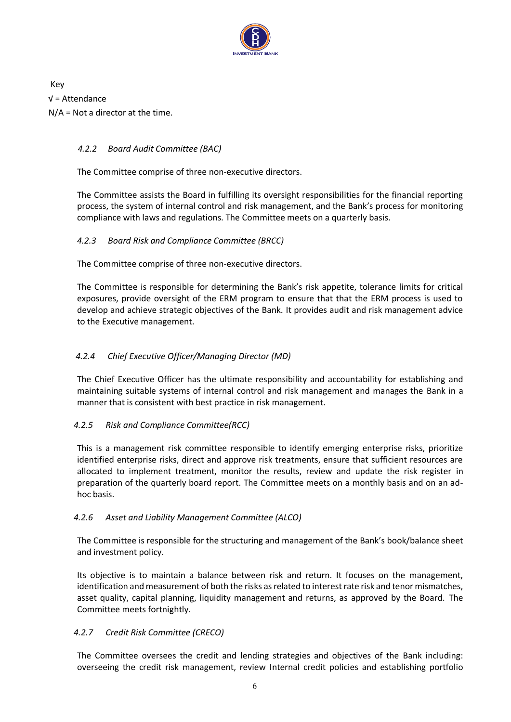

Key √ = Attendance N/A = Not a director at the time.

## *4.2.2 Board Audit Committee (BAC)*

The Committee comprise of three non-executive directors.

The Committee assists the Board in fulfilling its oversight responsibilities for the financial reporting process, the system of internal control and risk management, and the Bank's process for monitoring compliance with laws and regulations. The Committee meets on a quarterly basis.

## *4.2.3 Board Risk and Compliance Committee (BRCC)*

The Committee comprise of three non-executive directors.

The Committee is responsible for determining the Bank's risk appetite, tolerance limits for critical exposures, provide oversight of the ERM program to ensure that that the ERM process is used to develop and achieve strategic objectives of the Bank. It provides audit and risk management advice to the Executive management.

## *4.2.4 Chief Executive Officer/Managing Director (MD)*

The Chief Executive Officer has the ultimate responsibility and accountability for establishing and maintaining suitable systems of internal control and risk management and manages the Bank in a manner that is consistent with best practice in risk management.

## *4.2.5 Risk and Compliance Committee(RCC)*

This is a management risk committee responsible to identify emerging enterprise risks, prioritize identified enterprise risks, direct and approve risk treatments, ensure that sufficient resources are allocated to implement treatment, monitor the results, review and update the risk register in preparation of the quarterly board report. The Committee meets on a monthly basis and on an adhoc basis.

## *4.2.6 Asset and Liability Management Committee (ALCO)*

The Committee is responsible for the structuring and management of the Bank's book/balance sheet and investment policy.

Its objective is to maintain a balance between risk and return. It focuses on the management, identification and measurement of both the risks as related to interest rate risk and tenor mismatches, asset quality, capital planning, liquidity management and returns, as approved by the Board. The Committee meets fortnightly.

## *4.2.7 Credit Risk Committee (CRECO)*

The Committee oversees the credit and lending strategies and objectives of the Bank including: overseeing the credit risk management, review Internal credit policies and establishing portfolio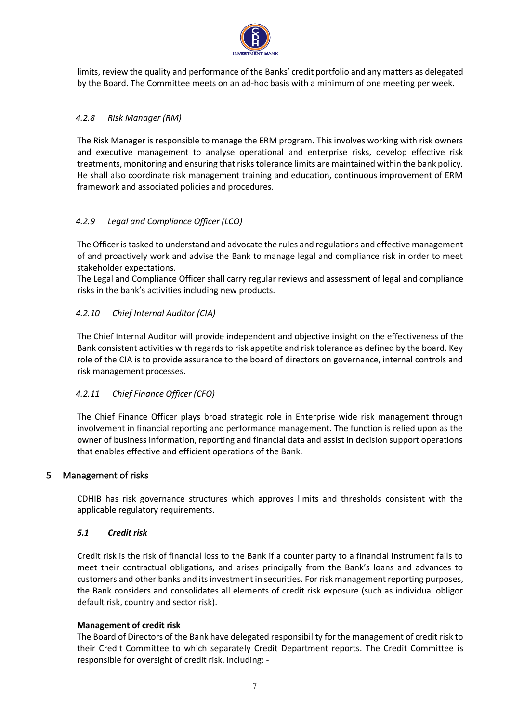

limits, review the quality and performance of the Banks' credit portfolio and any matters as delegated by the Board. The Committee meets on an ad-hoc basis with a minimum of one meeting per week.

## *4.2.8 Risk Manager (RM)*

The Risk Manager is responsible to manage the ERM program. This involves working with risk owners and executive management to analyse operational and enterprise risks, develop effective risk treatments, monitoring and ensuring that risks tolerance limits are maintained within the bank policy. He shall also coordinate risk management training and education, continuous improvement of ERM framework and associated policies and procedures.

## *4.2.9 Legal and Compliance Officer (LCO)*

The Officer is tasked to understand and advocate the rules and regulations and effective management of and proactively work and advise the Bank to manage legal and compliance risk in order to meet stakeholder expectations.

The Legal and Compliance Officer shall carry regular reviews and assessment of legal and compliance risks in the bank's activities including new products.

## *4.2.10 Chief Internal Auditor (CIA)*

The Chief Internal Auditor will provide independent and objective insight on the effectiveness of the Bank consistent activities with regards to risk appetite and risk tolerance as defined by the board. Key role of the CIA is to provide assurance to the board of directors on governance, internal controls and risk management processes.

## *4.2.11 Chief Finance Officer (CFO)*

The Chief Finance Officer plays broad strategic role in Enterprise wide risk management through involvement in financial reporting and performance management. The function is relied upon as the owner of business information, reporting and financial data and assist in decision support operations that enables effective and efficient operations of the Bank.

## <span id="page-7-0"></span>5 Management of risks

CDHIB has risk governance structures which approves limits and thresholds consistent with the applicable regulatory requirements.

#### <span id="page-7-1"></span>*5.1 Credit risk*

Credit risk is the risk of financial loss to the Bank if a counter party to a financial instrument fails to meet their contractual obligations, and arises principally from the Bank's loans and advances to customers and other banks and its investment in securities. For risk management reporting purposes, the Bank considers and consolidates all elements of credit risk exposure (such as individual obligor default risk, country and sector risk).

#### **Management of credit risk**

The Board of Directors of the Bank have delegated responsibility for the management of credit risk to their Credit Committee to which separately Credit Department reports. The Credit Committee is responsible for oversight of credit risk, including: -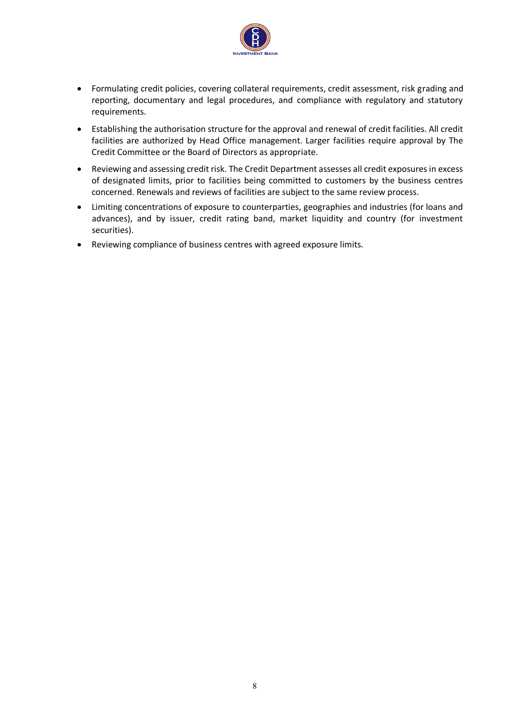

- Formulating credit policies, covering collateral requirements, credit assessment, risk grading and reporting, documentary and legal procedures, and compliance with regulatory and statutory requirements.
- Establishing the authorisation structure for the approval and renewal of credit facilities. All credit facilities are authorized by Head Office management. Larger facilities require approval by The Credit Committee or the Board of Directors as appropriate.
- Reviewing and assessing credit risk. The Credit Department assesses all credit exposures in excess of designated limits, prior to facilities being committed to customers by the business centres concerned. Renewals and reviews of facilities are subject to the same review process.
- Limiting concentrations of exposure to counterparties, geographies and industries (for loans and advances), and by issuer, credit rating band, market liquidity and country (for investment securities).
- Reviewing compliance of business centres with agreed exposure limits.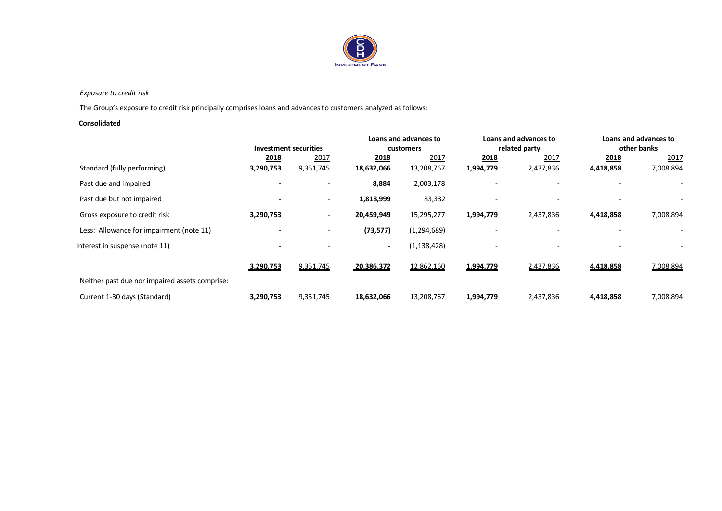

#### *Exposure to credit risk*

The Group's exposure to credit risk principally comprises loans and advances to customers analyzed as follows:

#### **Consolidated**

|                                                |                              |                          |            | Loans and advances to |               | Loans and advances to |             | Loans and advances to |
|------------------------------------------------|------------------------------|--------------------------|------------|-----------------------|---------------|-----------------------|-------------|-----------------------|
|                                                | <b>Investment securities</b> |                          | customers  |                       | related party |                       | other banks |                       |
|                                                | 2018                         | 2017                     | 2018       | 2017                  | 2018          | 2017                  | 2018        | 2017                  |
| Standard (fully performing)                    | 3,290,753                    | 9,351,745                | 18,632,066 | 13,208,767            | 1,994,779     | 2,437,836             | 4,418,858   | 7,008,894             |
| Past due and impaired                          |                              |                          | 8,884      | 2,003,178             |               |                       |             |                       |
| Past due but not impaired                      |                              |                          | 1,818,999  | 83,332                |               |                       |             |                       |
| Gross exposure to credit risk                  | 3,290,753                    | $\overline{\phantom{a}}$ | 20,459,949 | 15,295,277            | 1,994,779     | 2,437,836             | 4,418,858   | 7,008,894             |
| Less: Allowance for impairment (note 11)       | $\overline{\phantom{0}}$     | $\sim$                   | (73, 577)  | (1, 294, 689)         |               |                       |             |                       |
| Interest in suspense (note 11)                 |                              |                          |            | (1, 138, 428)         |               |                       |             |                       |
|                                                | 3,290,753                    | 9,351,745                | 20,386,372 | 12,862,160            | 1,994,779     | 2,437,836             | 4,418,858   | 7,008,894             |
| Neither past due nor impaired assets comprise: |                              |                          |            |                       |               |                       |             |                       |
| Current 1-30 days (Standard)                   | 3,290,753                    | 9,351,745                | 18,632,066 | 13,208,767            | 1,994,779     | 2,437,836             | 4,418,858   | 7,008,894             |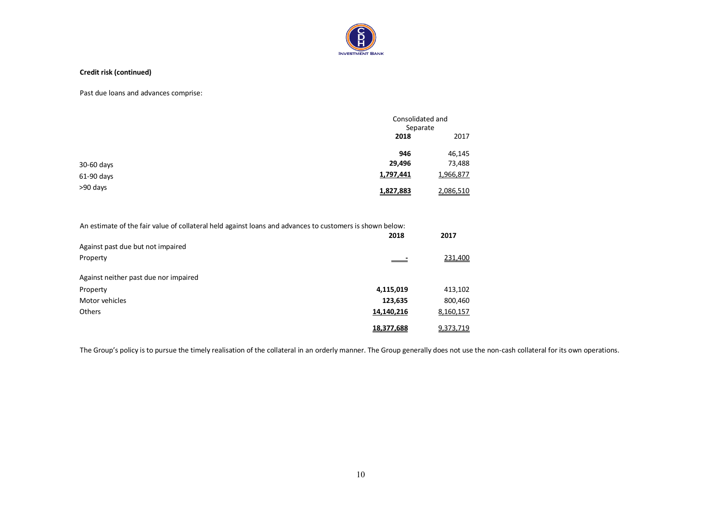

#### **Credit risk (continued)**

Past due loans and advances comprise:

|            |           | Consolidated and<br>Separate |  |
|------------|-----------|------------------------------|--|
|            | 2018      | 2017                         |  |
|            | 946       | 46,145                       |  |
| 30-60 days | 29,496    | 73,488                       |  |
| 61-90 days | 1,797,441 | 1,966,877                    |  |
| >90 days   | 1,827,883 | 2,086,510                    |  |

An estimate of the fair value of collateral held against loans and advances to customers is shown below:

|                          | 2017      |
|--------------------------|-----------|
|                          |           |
| $\overline{\phantom{a}}$ | 231,400   |
|                          |           |
|                          |           |
| 4,115,019                | 413,102   |
| 123,635                  | 800,460   |
| 14,140,216               | 8,160,157 |
| 18,377,688               | 9,373,719 |
|                          | 2018      |

The Group's policy is to pursue the timely realisation of the collateral in an orderly manner. The Group generally does not use the non-cash collateral for its own operations.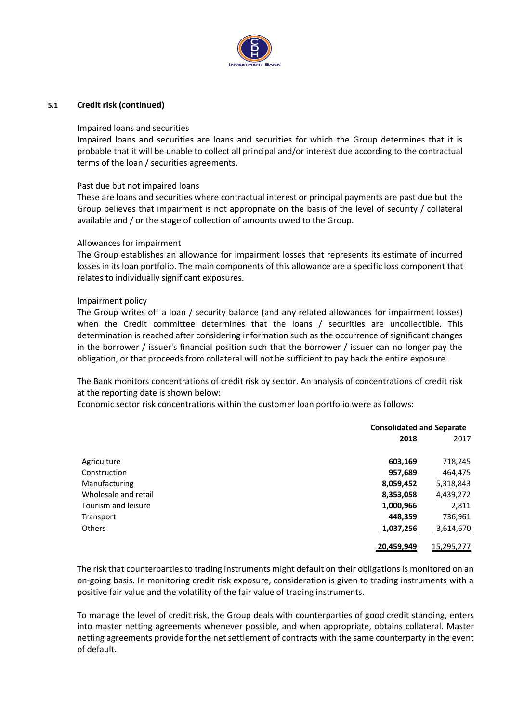

#### **5.1 Credit risk (continued)**

#### Impaired loans and securities

Impaired loans and securities are loans and securities for which the Group determines that it is probable that it will be unable to collect all principal and/or interest due according to the contractual terms of the loan / securities agreements.

#### Past due but not impaired loans

These are loans and securities where contractual interest or principal payments are past due but the Group believes that impairment is not appropriate on the basis of the level of security / collateral available and / or the stage of collection of amounts owed to the Group.

#### Allowances for impairment

The Group establishes an allowance for impairment losses that represents its estimate of incurred losses in its loan portfolio. The main components of this allowance are a specific loss component that relates to individually significant exposures.

#### Impairment policy

The Group writes off a loan / security balance (and any related allowances for impairment losses) when the Credit committee determines that the loans / securities are uncollectible. This determination is reached after considering information such as the occurrence of significant changes in the borrower / issuer's financial position such that the borrower / issuer can no longer pay the obligation, or that proceeds from collateral will not be sufficient to pay back the entire exposure.

The Bank monitors concentrations of credit risk by sector. An analysis of concentrations of credit risk at the reporting date is shown below:

Economic sector risk concentrations within the customer loan portfolio were as follows:

|                      | <b>Consolidated and Separate</b> |            |  |
|----------------------|----------------------------------|------------|--|
|                      | 2018                             | 2017       |  |
| Agriculture          | 603,169                          | 718,245    |  |
| Construction         | 957,689                          | 464,475    |  |
| Manufacturing        | 8,059,452                        | 5,318,843  |  |
| Wholesale and retail | 8,353,058                        | 4,439,272  |  |
| Tourism and leisure  | 1,000,966                        | 2,811      |  |
| Transport            | 448,359                          | 736,961    |  |
| Others               | 1,037,256                        | 3,614,670  |  |
|                      | 20,459,949                       | 15,295,277 |  |

The risk that counterparties to trading instruments might default on their obligations is monitored on an on-going basis. In monitoring credit risk exposure, consideration is given to trading instruments with a positive fair value and the volatility of the fair value of trading instruments.

To manage the level of credit risk, the Group deals with counterparties of good credit standing, enters into master netting agreements whenever possible, and when appropriate, obtains collateral. Master netting agreements provide for the net settlement of contracts with the same counterparty in the event of default.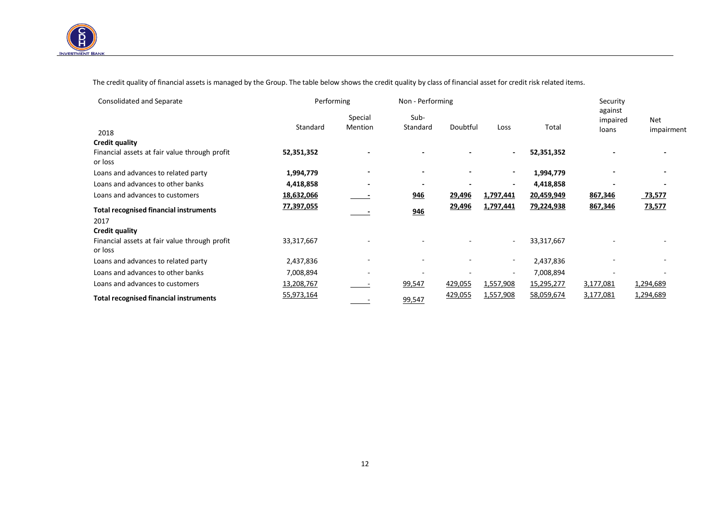

 $\overline{a}$ 

The credit quality of financial assets is managed by the Group. The table below shows the credit quality by class of financial asset for credit risk related items.

| Consolidated and Separate                                | Performing |                          | Non - Performing |                          |                          |            | Security                     |                   |
|----------------------------------------------------------|------------|--------------------------|------------------|--------------------------|--------------------------|------------|------------------------------|-------------------|
| 2018                                                     | Standard   | Special<br>Mention       | Sub-<br>Standard | Doubtful                 | Loss                     | Total      | against<br>impaired<br>loans | Net<br>impairment |
| <b>Credit quality</b>                                    |            |                          |                  |                          |                          |            |                              |                   |
| Financial assets at fair value through profit<br>or loss | 52,351,352 |                          |                  |                          | $\sim$                   | 52,351,352 |                              |                   |
| Loans and advances to related party                      | 1,994,779  |                          | $\blacksquare$   | $\overline{\phantom{a}}$ |                          | 1,994,779  |                              |                   |
| Loans and advances to other banks                        | 4,418,858  |                          |                  |                          |                          | 4,418,858  |                              |                   |
| Loans and advances to customers                          | 18,632,066 |                          | 946              | 29,496                   | 1,797,441                | 20,459,949 | 867,346                      | 73,577            |
| <b>Total recognised financial instruments</b>            | 77,397,055 |                          | 946              | 29,496                   | 1,797,441                | 79,224,938 | 867,346                      | 73,577            |
| 2017                                                     |            |                          |                  |                          |                          |            |                              |                   |
| <b>Credit quality</b>                                    |            |                          |                  |                          |                          |            |                              |                   |
| Financial assets at fair value through profit<br>or loss | 33,317,667 |                          |                  |                          | $\sim$                   | 33,317,667 |                              |                   |
| Loans and advances to related party                      | 2,437,836  |                          |                  |                          |                          | 2,437,836  |                              |                   |
| Loans and advances to other banks                        | 7,008,894  | $\overline{\phantom{a}}$ |                  |                          | $\overline{\phantom{a}}$ | 7,008,894  |                              |                   |
| Loans and advances to customers                          | 13,208,767 |                          | 99,547           | 429,055                  | 1,557,908                | 15,295,277 | 3,177,081                    | 1,294,689         |
| <b>Total recognised financial instruments</b>            | 55,973,164 |                          | 99,547           | 429,055                  | 1,557,908                | 58,059,674 | 3,177,081                    | 1,294,689         |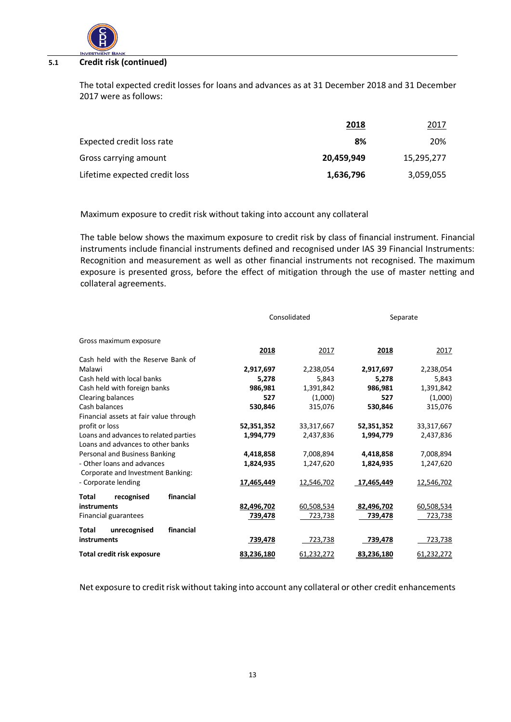

#### **5.1 Credit risk (continued)**

The total expected credit losses for loans and advances as at 31 December 2018 and 31 December 2017 were as follows:

|                               | 2018       | 2017       |
|-------------------------------|------------|------------|
| Expected credit loss rate     | 8%         | 20%        |
| Gross carrying amount         | 20.459.949 | 15,295,277 |
| Lifetime expected credit loss | 1,636,796  | 3,059,055  |

Maximum exposure to credit risk without taking into account any collateral

The table below shows the maximum exposure to credit risk by class of financial instrument. Financial instruments include financial instruments defined and recognised under IAS 39 Financial Instruments: Recognition and measurement as well as other financial instruments not recognised. The maximum exposure is presented gross, before the effect of mitigation through the use of master netting and collateral agreements.

|                                        | Consolidated |            | Separate   |            |  |
|----------------------------------------|--------------|------------|------------|------------|--|
| Gross maximum exposure                 |              |            |            |            |  |
|                                        | 2018         | 2017       | 2018       | 2017       |  |
| Cash held with the Reserve Bank of     |              |            |            |            |  |
| Malawi                                 | 2,917,697    | 2,238,054  | 2,917,697  | 2,238,054  |  |
| Cash held with local banks             | 5,278        | 5,843      | 5,278      | 5,843      |  |
| Cash held with foreign banks           | 986,981      | 1,391,842  | 986,981    | 1,391,842  |  |
| Clearing balances                      | 527          | (1,000)    | 527        | (1,000)    |  |
| Cash balances                          | 530,846      | 315,076    | 530,846    | 315,076    |  |
| Financial assets at fair value through |              |            |            |            |  |
| profit or loss                         | 52,351,352   | 33,317,667 | 52,351,352 | 33,317,667 |  |
| Loans and advances to related parties  | 1,994,779    | 2,437,836  | 1,994,779  | 2,437,836  |  |
| Loans and advances to other banks      |              |            |            |            |  |
| Personal and Business Banking          | 4,418,858    | 7,008,894  | 4,418,858  | 7,008,894  |  |
| - Other loans and advances             | 1,824,935    | 1,247,620  | 1,824,935  | 1,247,620  |  |
| Corporate and Investment Banking:      |              |            |            |            |  |
| - Corporate lending                    | 17,465,449   | 12,546,702 | 17,465,449 | 12,546,702 |  |
| financial<br>recognised<br>Total       |              |            |            |            |  |
| instruments                            | 82,496,702   | 60,508,534 | 82,496,702 | 60,508,534 |  |
| Financial guarantees                   | 739,478      | 723,738    | 739,478    | 723,738    |  |
| financial<br>unrecognised<br>Total     |              |            |            |            |  |
| instruments                            | 739,478      | 723,738    | 739,478    | 723,738    |  |
| Total credit risk exposure             | 83,236,180   | 61,232,272 | 83,236,180 | 61,232,272 |  |

Net exposure to credit risk without taking into account any collateral or other credit enhancements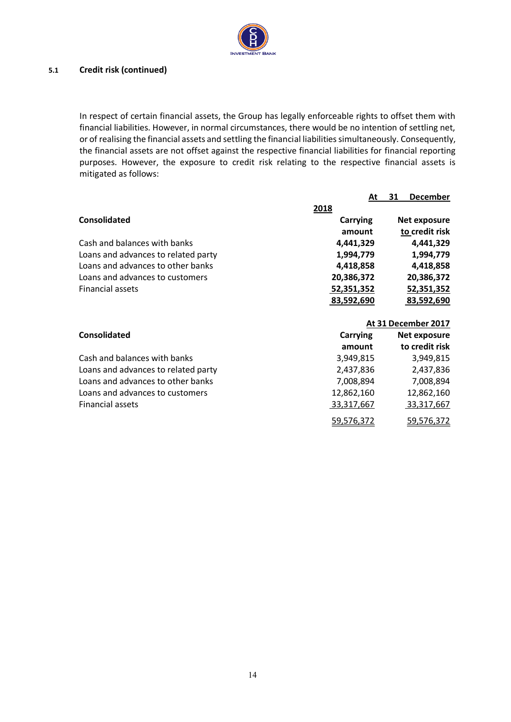

## **5.1 Credit risk (continued)**

In respect of certain financial assets, the Group has legally enforceable rights to offset them with financial liabilities. However, in normal circumstances, there would be no intention of settling net, or of realising the financial assets and settling the financial liabilities simultaneously. Consequently, the financial assets are not offset against the respective financial liabilities for financial reporting purposes. However, the exposure to credit risk relating to the respective financial assets is mitigated as follows:

|                                     | At         | <b>December</b><br>31 |
|-------------------------------------|------------|-----------------------|
|                                     | 2018       |                       |
| <b>Consolidated</b>                 | Carrying   | Net exposure          |
|                                     | amount     | to credit risk        |
| Cash and balances with banks        | 4,441,329  | 4,441,329             |
| Loans and advances to related party | 1,994,779  | 1,994,779             |
| Loans and advances to other banks   | 4,418,858  | 4,418,858             |
| Loans and advances to customers     | 20,386,372 | 20,386,372            |
| <b>Financial assets</b>             | 52,351,352 | 52,351,352            |
|                                     | 83,592,690 | 83,592,690            |
|                                     |            |                       |

|                                     |            | At 31 December 2017 |
|-------------------------------------|------------|---------------------|
| <b>Consolidated</b>                 | Carrying   | Net exposure        |
|                                     | amount     | to credit risk      |
| Cash and balances with banks        | 3,949,815  | 3,949,815           |
| Loans and advances to related party | 2,437,836  | 2,437,836           |
| Loans and advances to other banks   | 7,008,894  | 7,008,894           |
| Loans and advances to customers     | 12,862,160 | 12,862,160          |
| Financial assets                    | 33,317,667 | 33,317,667          |
|                                     | 59,576,372 | 59,576,372          |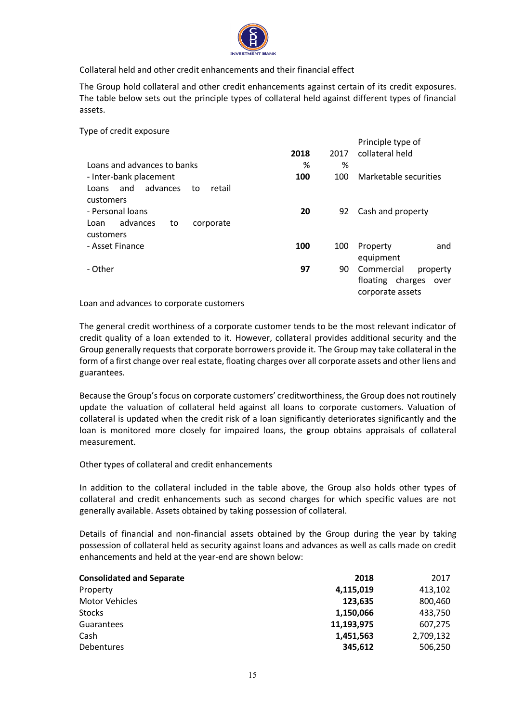

Collateral held and other credit enhancements and their financial effect

The Group hold collateral and other credit enhancements against certain of its credit exposures. The table below sets out the principle types of collateral held against different types of financial assets.

Type of credit exposure

|                                                    |      |      | Principle type of                                                      |
|----------------------------------------------------|------|------|------------------------------------------------------------------------|
|                                                    | 2018 | 2017 | collateral held                                                        |
| Loans and advances to banks                        | %    | %    |                                                                        |
| - Inter-bank placement                             | 100  | 100  | Marketable securities                                                  |
| and advances<br>retail<br>Loans<br>to<br>customers |      |      |                                                                        |
| - Personal loans                                   | 20   | 92   | Cash and property                                                      |
| advances<br>corporate<br>Loan<br>to<br>customers   |      |      |                                                                        |
| - Asset Finance                                    | 100  | 100  | and<br>Property<br>equipment                                           |
| - Other                                            | 97   | 90   | Commercial<br>property<br>floating charges<br>over<br>corporate assets |

Loan and advances to corporate customers

The general credit worthiness of a corporate customer tends to be the most relevant indicator of credit quality of a loan extended to it. However, collateral provides additional security and the Group generally requests that corporate borrowers provide it. The Group may take collateral in the form of a first change over real estate, floating charges over all corporate assets and other liens and guarantees.

Because the Group's focus on corporate customers' creditworthiness, the Group does not routinely update the valuation of collateral held against all loans to corporate customers. Valuation of collateral is updated when the credit risk of a loan significantly deteriorates significantly and the loan is monitored more closely for impaired loans, the group obtains appraisals of collateral measurement.

Other types of collateral and credit enhancements

In addition to the collateral included in the table above, the Group also holds other types of collateral and credit enhancements such as second charges for which specific values are not generally available. Assets obtained by taking possession of collateral.

Details of financial and non-financial assets obtained by the Group during the year by taking possession of collateral held as security against loans and advances as well as calls made on credit enhancements and held at the year-end are shown below:

| <b>Consolidated and Separate</b> | 2018       | 2017      |
|----------------------------------|------------|-----------|
| Property                         | 4,115,019  | 413,102   |
| <b>Motor Vehicles</b>            | 123,635    | 800,460   |
| Stocks                           | 1,150,066  | 433,750   |
| <b>Guarantees</b>                | 11,193,975 | 607,275   |
| Cash                             | 1,451,563  | 2,709,132 |
| <b>Debentures</b>                | 345.612    | 506,250   |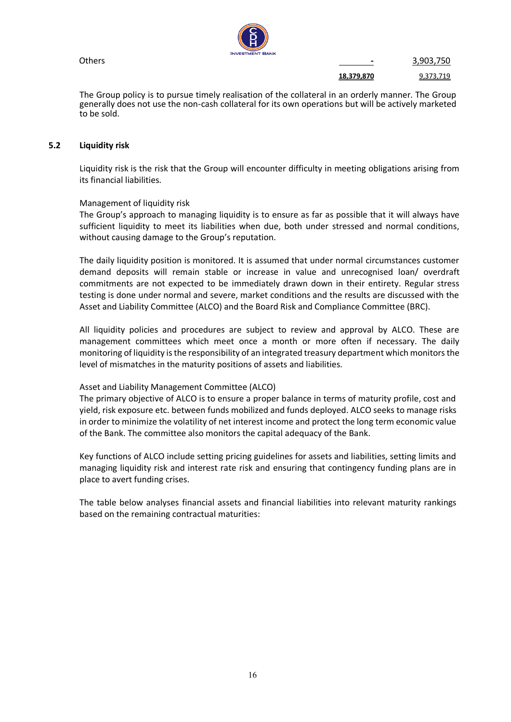

Others **-** 3,903,750

**18,379,870** 9,373,719

The Group policy is to pursue timely realisation of the collateral in an orderly manner. The Group generally does not use the non-cash collateral for its own operations but will be actively marketed to be sold.

#### <span id="page-16-0"></span>**5.2 Liquidity risk**

Liquidity risk is the risk that the Group will encounter difficulty in meeting obligations arising from its financial liabilities.

#### Management of liquidity risk

The Group's approach to managing liquidity is to ensure as far as possible that it will always have sufficient liquidity to meet its liabilities when due, both under stressed and normal conditions, without causing damage to the Group's reputation.

The daily liquidity position is monitored. It is assumed that under normal circumstances customer demand deposits will remain stable or increase in value and unrecognised loan/ overdraft commitments are not expected to be immediately drawn down in their entirety. Regular stress testing is done under normal and severe, market conditions and the results are discussed with the Asset and Liability Committee (ALCO) and the Board Risk and Compliance Committee (BRC).

All liquidity policies and procedures are subject to review and approval by ALCO. These are management committees which meet once a month or more often if necessary. The daily monitoring of liquidity is the responsibility of an integrated treasury department which monitors the level of mismatches in the maturity positions of assets and liabilities.

#### Asset and Liability Management Committee (ALCO)

The primary objective of ALCO is to ensure a proper balance in terms of maturity profile, cost and yield, risk exposure etc. between funds mobilized and funds deployed. ALCO seeks to manage risks in order to minimize the volatility of net interest income and protect the long term economic value of the Bank. The committee also monitors the capital adequacy of the Bank.

Key functions of ALCO include setting pricing guidelines for assets and liabilities, setting limits and managing liquidity risk and interest rate risk and ensuring that contingency funding plans are in place to avert funding crises.

The table below analyses financial assets and financial liabilities into relevant maturity rankings based on the remaining contractual maturities: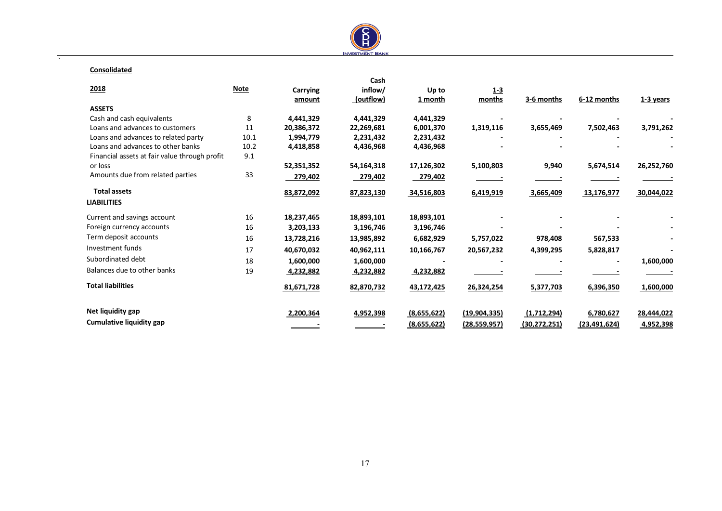

#### **Consolidated**

 $\overline{\phantom{a}}$ 

|                                               |             |                 | Cash       |             |                |                |                |             |
|-----------------------------------------------|-------------|-----------------|------------|-------------|----------------|----------------|----------------|-------------|
| 2018                                          | <b>Note</b> | <b>Carrying</b> | inflow/    | Up to       | $1 - 3$        |                |                |             |
|                                               |             | amount          | (outflow)  | 1 month     | months         | 3-6 months     | 6-12 months    | $1-3$ years |
| <b>ASSETS</b>                                 |             |                 |            |             |                |                |                |             |
| Cash and cash equivalents                     | 8           | 4,441,329       | 4,441,329  | 4,441,329   |                |                |                |             |
| Loans and advances to customers               | 11          | 20,386,372      | 22,269,681 | 6,001,370   | 1,319,116      | 3,655,469      | 7,502,463      | 3,791,262   |
| Loans and advances to related party           | 10.1        | 1,994,779       | 2,231,432  | 2,231,432   |                |                |                |             |
| Loans and advances to other banks             | 10.2        | 4,418,858       | 4,436,968  | 4,436,968   |                |                |                |             |
| Financial assets at fair value through profit | 9.1         |                 |            |             |                |                |                |             |
| or loss                                       |             | 52,351,352      | 54,164,318 | 17,126,302  | 5,100,803      | 9,940          | 5,674,514      | 26,252,760  |
| Amounts due from related parties              | 33          | 279,402         | 279,402    | 279,402     |                |                |                |             |
| <b>Total assets</b>                           |             | 83,872,092      | 87,823,130 | 34,516,803  | 6,419,919      | 3,665,409      | 13,176,977     | 30,044,022  |
| <b>LIABILITIES</b>                            |             |                 |            |             |                |                |                |             |
| Current and savings account                   | 16          | 18,237,465      | 18,893,101 | 18,893,101  |                |                |                |             |
| Foreign currency accounts                     | 16          | 3,203,133       | 3,196,746  | 3,196,746   |                |                |                |             |
| Term deposit accounts                         | 16          | 13,728,216      | 13,985,892 | 6,682,929   | 5,757,022      | 978,408        | 567,533        |             |
| Investment funds                              | 17          | 40,670,032      | 40,962,111 | 10,166,767  | 20,567,232     | 4,399,295      | 5,828,817      |             |
| Subordinated debt                             | 18          | 1,600,000       | 1,600,000  |             |                |                |                | 1,600,000   |
| Balances due to other banks                   | 19          | 4,232,882       | 4,232,882  | 4,232,882   |                |                |                |             |
| <b>Total liabilities</b>                      |             | 81,671,728      | 82,870,732 | 43,172,425  | 26,324,254     | 5,377,703      | 6,396,350      | 1,600,000   |
| Net liquidity gap                             |             | 2,200,364       | 4,952,398  | (8,655,622) | (19, 904, 335) | (1,712,294)    | 6,780,627      | 28,444,022  |
| <b>Cumulative liquidity gap</b>               |             |                 |            | (8,655,622) | (28, 559, 957) | (30, 272, 251) | (23, 491, 624) | 4,952,398   |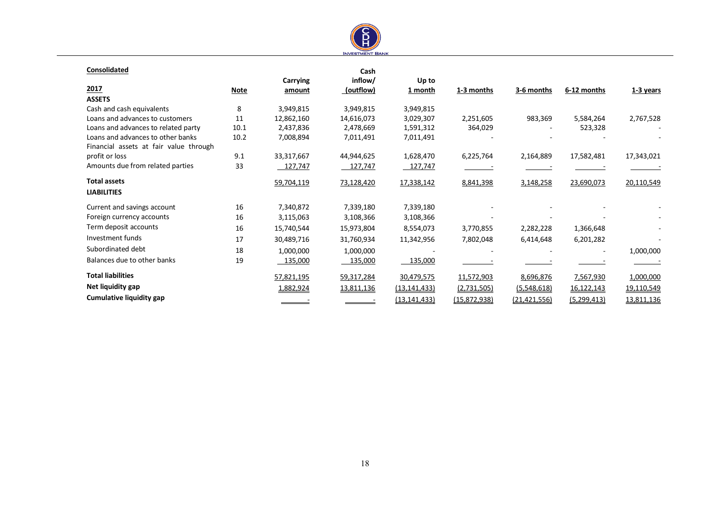

#### **Consolidated**

| Consolidated                           |             |            | Cash       |                |              |                |               |             |
|----------------------------------------|-------------|------------|------------|----------------|--------------|----------------|---------------|-------------|
|                                        |             | Carrying   | inflow/    | Up to          |              |                |               |             |
| 2017                                   | <b>Note</b> | amount     | (outflow)  | 1 month        | 1-3 months   | 3-6 months     | 6-12 months   | $1-3$ years |
| <b>ASSETS</b>                          |             |            |            |                |              |                |               |             |
| Cash and cash equivalents              | 8           | 3,949,815  | 3,949,815  | 3,949,815      |              |                |               |             |
| Loans and advances to customers        | 11          | 12,862,160 | 14,616,073 | 3,029,307      | 2,251,605    | 983,369        | 5,584,264     | 2,767,528   |
| Loans and advances to related party    | 10.1        | 2,437,836  | 2,478,669  | 1,591,312      | 364,029      |                | 523,328       |             |
| Loans and advances to other banks      | 10.2        | 7,008,894  | 7,011,491  | 7,011,491      |              |                |               |             |
| Financial assets at fair value through |             |            |            |                |              |                |               |             |
| profit or loss                         | 9.1         | 33,317,667 | 44,944,625 | 1,628,470      | 6,225,764    | 2,164,889      | 17,582,481    | 17,343,021  |
| Amounts due from related parties       | 33          | 127,747    | 127,747    | 127,747        |              |                |               |             |
| <b>Total assets</b>                    |             | 59,704,119 | 73,128,420 | 17,338,142     | 8,841,398    | 3,148,258      | 23,690,073    | 20,110,549  |
| <b>LIABILITIES</b>                     |             |            |            |                |              |                |               |             |
| Current and savings account            | 16          | 7,340,872  | 7,339,180  | 7,339,180      |              |                |               |             |
| Foreign currency accounts              | 16          | 3,115,063  | 3,108,366  | 3,108,366      |              |                |               |             |
| Term deposit accounts                  | 16          | 15,740,544 | 15,973,804 | 8,554,073      | 3,770,855    | 2,282,228      | 1,366,648     |             |
| Investment funds                       | 17          | 30,489,716 | 31,760,934 | 11,342,956     | 7,802,048    | 6,414,648      | 6,201,282     |             |
| Subordinated debt                      | 18          | 1,000,000  | 1,000,000  |                |              |                |               | 1,000,000   |
| Balances due to other banks            | 19          | 135,000    | 135,000    | 135,000        |              |                |               |             |
| <b>Total liabilities</b>               |             | 57,821,195 | 59,317,284 | 30,479,575     | 11,572,903   | 8,696,876      | 7,567,930     | 1,000,000   |
| Net liquidity gap                      |             | 1,882,924  | 13,811,136 | (13, 141, 433) | (2,731,505)  | (5,548,618)    | 16,122,143    | 19,110,549  |
| Cumulative liquidity gap               |             |            |            | (13, 141, 433) | (15,872,938) | (21, 421, 556) | (5, 299, 413) | 13,811,136  |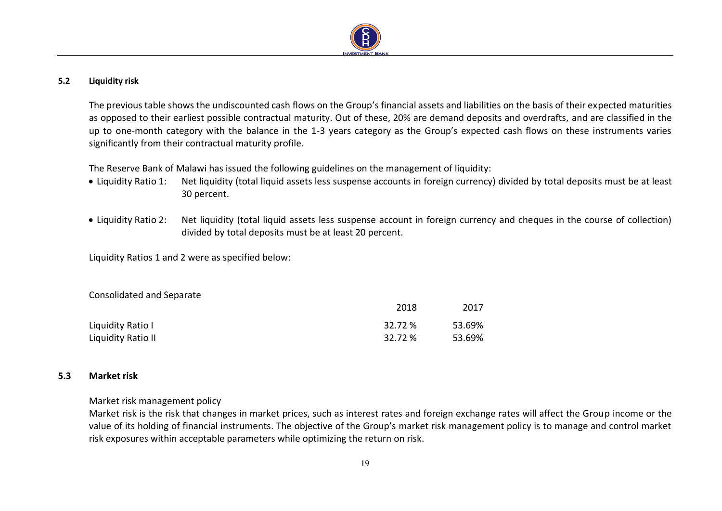

## **5.2 Liquidity risk**

The previous table shows the undiscounted cash flows on the Group's financial assets and liabilities on the basis of their expected maturities as opposed to their earliest possible contractual maturity. Out of these, 20% are demand deposits and overdrafts, and are classified in the up to one-month category with the balance in the 1-3 years category as the Group's expected cash flows on these instruments varies significantly from their contractual maturity profile.

The Reserve Bank of Malawi has issued the following guidelines on the management of liquidity:

- Liquidity Ratio 1: Net liquidity (total liquid assets less suspense accounts in foreign currency) divided by total deposits must be at least 30 percent.
- Liquidity Ratio 2: Net liquidity (total liquid assets less suspense account in foreign currency and cheques in the course of collection) divided by total deposits must be at least 20 percent.

Liquidity Ratios 1 and 2 were as specified below:

<span id="page-19-0"></span>

| Consolidated and Separate |         |        |
|---------------------------|---------|--------|
|                           | 2018    | 2017   |
| Liquidity Ratio I         | 32.72 % | 53.69% |
| Liquidity Ratio II        | 32.72 % | 53.69% |

## **5.3 Market risk**

## Market risk management policy

<span id="page-19-1"></span>Market risk is the risk that changes in market prices, such as interest rates and foreign exchange rates will affect the Group income or the value of its holding of financial instruments. The objective of the Group's market risk management policy is to manage and control market risk exposures within acceptable parameters while optimizing the return on risk.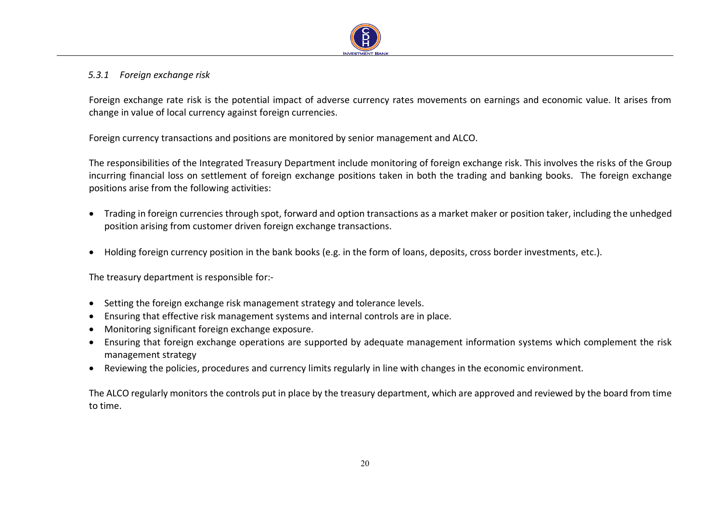

## *5.3.1 Foreign exchange risk*

Foreign exchange rate risk is the potential impact of adverse currency rates movements on earnings and economic value. It arises from change in value of local currency against foreign currencies.

Foreign currency transactions and positions are monitored by senior management and ALCO.

The responsibilities of the Integrated Treasury Department include monitoring of foreign exchange risk. This involves the risks of the Group incurring financial loss on settlement of foreign exchange positions taken in both the trading and banking books. The foreign exchange positions arise from the following activities:

- Trading in foreign currencies through spot, forward and option transactions as a market maker or position taker, including the unhedged position arising from customer driven foreign exchange transactions.
- Holding foreign currency position in the bank books (e.g. in the form of loans, deposits, cross border investments, etc.).

The treasury department is responsible for:-

- Setting the foreign exchange risk management strategy and tolerance levels.
- Ensuring that effective risk management systems and internal controls are in place.
- Monitoring significant foreign exchange exposure.
- Ensuring that foreign exchange operations are supported by adequate management information systems which complement the risk management strategy
- Reviewing the policies, procedures and currency limits regularly in line with changes in the economic environment.

The ALCO regularly monitors the controls put in place by the treasury department, which are approved and reviewed by the board from time to time.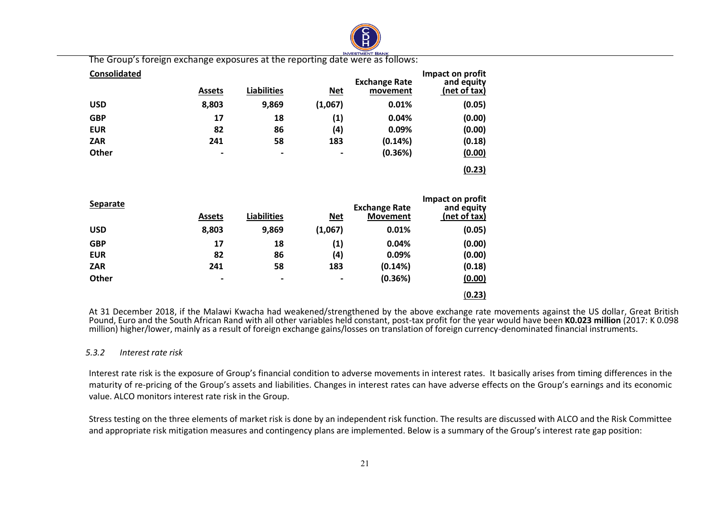

The Group's foreign exchange exposures at the reporting date were as follows:

| <b>Consolidated</b> | <b>Assets</b>            | <b>Liabilities</b> | <u>Net</u>        | <b>Exchange Rate</b><br>movement | Impact on profit<br>and equity<br>(net of tax) |
|---------------------|--------------------------|--------------------|-------------------|----------------------------------|------------------------------------------------|
| <b>USD</b>          | 8,803                    | 9,869              | (1,067)           | 0.01%                            | (0.05)                                         |
| <b>GBP</b>          | 17                       | 18                 | $\left( 1\right)$ | 0.04%                            | (0.00)                                         |
| <b>EUR</b>          | 82                       | 86                 | (4)               | 0.09%                            | (0.00)                                         |
| <b>ZAR</b>          | 241                      | 58                 | 183               | (0.14%)                          | (0.18)                                         |
| Other               | $\overline{\phantom{0}}$ | $\blacksquare$     | $\hbox{ }$        | (0.36%)                          | (0.00)                                         |
|                     |                          |                    |                   |                                  | (0.23)                                         |

| <b>Separate</b> | <b>Assets</b>            | <b>Liabilities</b> | <u>Net</u>     | <b>Exchange Rate</b><br><b>Movement</b> | Impact on profit<br>and equity<br>(net of tax) |
|-----------------|--------------------------|--------------------|----------------|-----------------------------------------|------------------------------------------------|
| <b>USD</b>      | 8,803                    | 9,869              | (1,067)        | 0.01%                                   | (0.05)                                         |
| <b>GBP</b>      | 17                       | 18                 | (1)            | 0.04%                                   | (0.00)                                         |
| <b>EUR</b>      | 82                       | 86                 | (4)            | 0.09%                                   | (0.00)                                         |
| <b>ZAR</b>      | 241                      | 58                 | 183            | (0.14%)                                 | (0.18)                                         |
| Other           | $\overline{\phantom{0}}$ | $\blacksquare$     | $\blacksquare$ | (0.36%)                                 | (0.00)                                         |
|                 |                          |                    |                |                                         | (0.23)                                         |

At 31 December 2018, if the Malawi Kwacha had weakened/strengthened by the above exchange rate movements against the US dollar, Great British Pound, Euro and the South African Rand with all other variables held constant, post-tax profit for the year would have been **K0.023 million** (2017: K 0.098 million) higher/lower, mainly as a result of foreign exchange gains/losses on translation of foreign currency-denominated financial instruments.

#### *5.3.2 Interest rate risk*

Interest rate risk is the exposure of Group's financial condition to adverse movements in interest rates. It basically arises from timing differences in the maturity of re-pricing of the Group's assets and liabilities. Changes in interest rates can have adverse effects on the Group's earnings and its economic value. ALCO monitors interest rate risk in the Group.

Stress testing on the three elements of market risk is done by an independent risk function. The results are discussed with ALCO and the Risk Committee and appropriate risk mitigation measures and contingency plans are implemented. Below is a summary of the Group's interest rate gap position: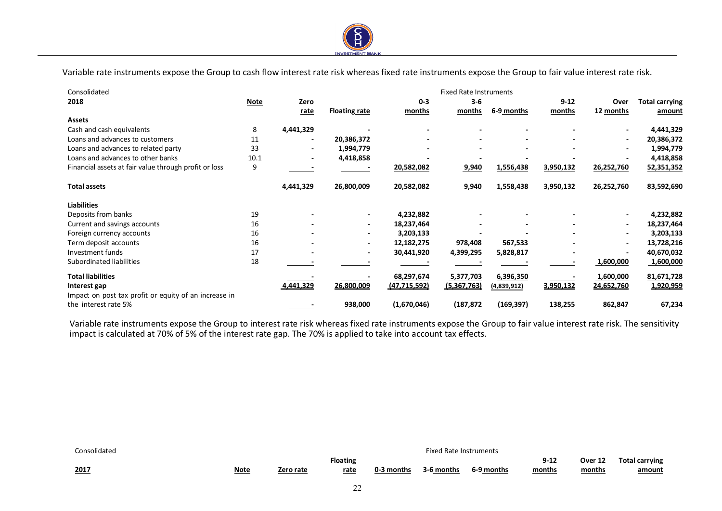

Variable rate instruments expose the Group to cash flow interest rate risk whereas fixed rate instruments expose the Group to fair value interest rate risk.

 $\overline{a}$ 

| Consolidated                                          |             |           |                          |                | <b>Fixed Rate Instruments</b> |                  |           |                          |                       |
|-------------------------------------------------------|-------------|-----------|--------------------------|----------------|-------------------------------|------------------|-----------|--------------------------|-----------------------|
| 2018                                                  | <b>Note</b> | Zero      |                          | $0 - 3$        | $3 - 6$                       |                  | $9 - 12$  | Over                     | <b>Total carrying</b> |
|                                                       |             | rate      | <b>Floating rate</b>     | months         | months                        | 6-9 months       | months    | 12 months                | amount                |
| <b>Assets</b>                                         |             |           |                          |                |                               |                  |           |                          |                       |
| Cash and cash equivalents                             | 8           | 4,441,329 |                          |                |                               |                  |           |                          | 4,441,329             |
| Loans and advances to customers                       | 11          |           | 20,386,372               |                |                               |                  |           |                          | 20,386,372            |
| Loans and advances to related party                   | 33          |           | 1,994,779                |                |                               |                  |           |                          | 1,994,779             |
| Loans and advances to other banks                     | 10.1        |           | 4,418,858                |                |                               |                  |           |                          | 4,418,858             |
| Financial assets at fair value through profit or loss | 9           |           |                          | 20,582,082     | 9,940                         | 1,556,438        | 3,950,132 | 26,252,760               | 52,351,352            |
| <b>Total assets</b>                                   |             | 4,441,329 | 26,800,009               | 20,582,082     | 9,940                         | 1,558,438        | 3,950,132 | 26,252,760               | 83,592,690            |
| <b>Liabilities</b>                                    |             |           |                          |                |                               |                  |           |                          |                       |
| Deposits from banks                                   | 19          |           | $\overline{\phantom{a}}$ | 4,232,882      |                               |                  |           |                          | 4,232,882             |
| Current and savings accounts                          | 16          |           | $\overline{\phantom{a}}$ | 18,237,464     |                               |                  |           | $\overline{\phantom{0}}$ | 18,237,464            |
| Foreign currency accounts                             | 16          |           |                          | 3,203,133      |                               |                  |           |                          | 3,203,133             |
| Term deposit accounts                                 | 16          |           | $\overline{\phantom{a}}$ | 12,182,275     | 978,408                       | 567,533          |           | $\overline{\phantom{a}}$ | 13,728,216            |
| Investment funds                                      | 17          |           |                          | 30,441,920     | 4,399,295                     | 5,828,817        |           |                          | 40,670,032            |
| Subordinated liabilities                              | 18          |           |                          |                |                               |                  |           | 1,600,000                | 1,600,000             |
| <b>Total liabilities</b>                              |             |           |                          | 68,297,674     | 5,377,703                     | 6,396,350        |           | 1,600,000                | 81,671,728            |
| Interest gap                                          |             | 4,441,329 | 26,800,009               | (47, 715, 592) | (5,367,763)                   | (4,839,912)      | 3,950,132 | 24,652,760               | 1,920,959             |
| Impact on post tax profit or equity of an increase in |             |           |                          |                |                               |                  |           |                          |                       |
| the interest rate 5%                                  |             |           | 938,000                  | (1,670,046)    | (187,872                      | <u>(169,397)</u> | 138,255   | 862,847                  | 67,234                |

Variable rate instruments expose the Group to interest rate risk whereas fixed rate instruments expose the Group to fair value interest rate risk. The sensitivity impact is calculated at 70% of 5% of the interest rate gap. The 70% is applied to take into account tax effects.

| Consolidated |             |           |                         |            | <b>Fixed Rate Instruments</b> |            |                        |                   |                                        |
|--------------|-------------|-----------|-------------------------|------------|-------------------------------|------------|------------------------|-------------------|----------------------------------------|
| 2017         | <b>Note</b> | Zero rate | <b>Floating</b><br>rate | 0-3 months | 3-6 months                    | 6-9 months | Q 12<br>コーエム<br>months | Over 12<br>months | <b>Total carrying</b><br><u>amount</u> |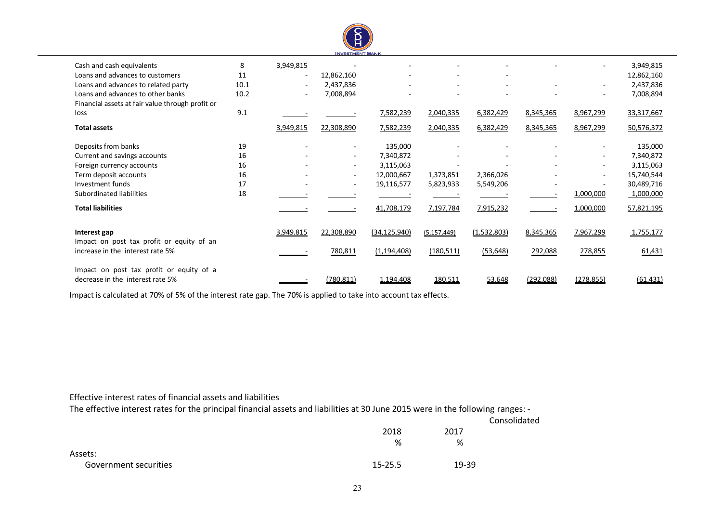

 $\overline{a}$ 

| Cash and cash equivalents                        | 8    | 3,949,815                |                          |                |               |             |           |            | 3,949,815  |
|--------------------------------------------------|------|--------------------------|--------------------------|----------------|---------------|-------------|-----------|------------|------------|
| Loans and advances to customers                  | 11   | $\overline{\phantom{a}}$ | 12,862,160               |                |               |             |           |            | 12,862,160 |
| Loans and advances to related party              | 10.1 | $\overline{\phantom{a}}$ | 2,437,836                |                |               |             |           |            | 2,437,836  |
| Loans and advances to other banks                | 10.2 |                          | 7,008,894                |                |               |             |           |            | 7,008,894  |
| Financial assets at fair value through profit or |      |                          |                          |                |               |             |           |            |            |
| loss                                             | 9.1  |                          |                          | 7,582,239      | 2,040,335     | 6,382,429   | 8,345,365 | 8,967,299  | 33,317,667 |
| <b>Total assets</b>                              |      | 3,949,815                | 22,308,890               | 7,582,239      | 2,040,335     | 6,382,429   | 8,345,365 | 8,967,299  | 50,576,372 |
| Deposits from banks                              | 19   |                          | $\overline{\phantom{a}}$ | 135,000        |               |             |           |            | 135,000    |
| Current and savings accounts                     | 16   |                          | $\sim$                   | 7,340,872      |               |             |           |            | 7,340,872  |
| Foreign currency accounts                        | 16   |                          | $\sim$                   | 3,115,063      |               |             |           |            | 3,115,063  |
| Term deposit accounts                            | 16   |                          | $\sim$                   | 12,000,667     | 1,373,851     | 2,366,026   |           |            | 15,740,544 |
| Investment funds                                 | 17   |                          | $\overline{\phantom{a}}$ | 19,116,577     | 5,823,933     | 5,549,206   |           |            | 30,489,716 |
| Subordinated liabilities                         | 18   |                          |                          |                |               |             |           | 1,000,000  | 1,000,000  |
| <b>Total liabilities</b>                         |      |                          |                          | 41,708,179     | 7,197,784     | 7,915,232   |           | 1,000,000  | 57,821,195 |
| Interest gap                                     |      | 3,949,815                | 22,308,890               | (34, 125, 940) | (5, 157, 449) | (1,532,803) | 8,345,365 | 7,967,299  | 1,755,177  |
| Impact on post tax profit or equity of an        |      |                          |                          |                |               |             |           |            |            |
| increase in the interest rate 5%                 |      |                          | 780,811                  | (1, 194, 408)  | (180, 511)    | (53, 648)   | 292,088   | 278,855    | 61,431     |
| Impact on post tax profit or equity of a         |      |                          |                          |                |               |             |           |            |            |
| decrease in the interest rate 5%                 |      |                          | (780, 811)               | 1,194,408      | 180,511       | 53,648      | (292,088) | (278, 855) | (61, 431)  |
|                                                  |      |                          |                          |                |               |             |           |            |            |

Impact is calculated at 70% of 5% of the interest rate gap. The 70% is applied to take into account tax effects.

#### Effective interest rates of financial assets and liabilities

The effective interest rates for the principal financial assets and liabilities at 30 June 2015 were in the following ranges: -

|                       |             |       | Consolidated |
|-----------------------|-------------|-------|--------------|
|                       | 2018        | 2017  |              |
|                       | %           | %     |              |
| Assets:               |             |       |              |
| Government securities | $15 - 25.5$ | 19-39 |              |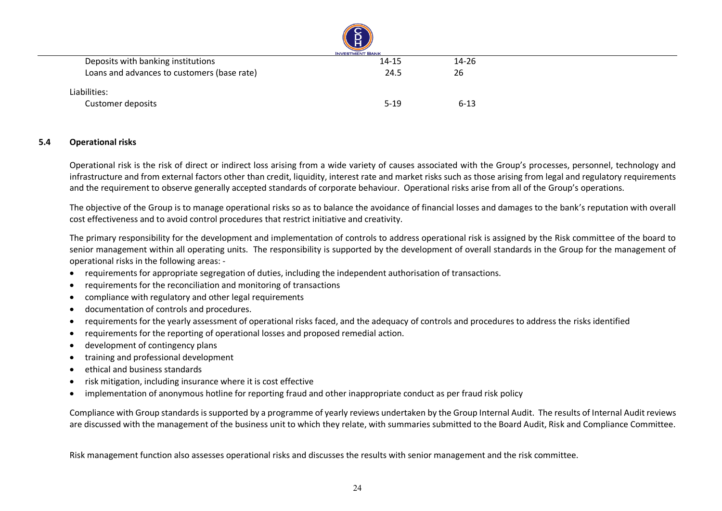|                                             | ≍<br>Н<br><b>INVESTMENT BANK</b> |          |  |
|---------------------------------------------|----------------------------------|----------|--|
| Deposits with banking institutions          | $14 - 15$                        | 14-26    |  |
| Loans and advances to customers (base rate) | 24.5                             | 26       |  |
| Liabilities:                                |                                  |          |  |
| <b>Customer deposits</b>                    | $5 - 19$                         | $6 - 13$ |  |

#### **5.4 Operational risks**

Operational risk is the risk of direct or indirect loss arising from a wide variety of causes associated with the Group's processes, personnel, technology and infrastructure and from external factors other than credit, liquidity, interest rate and market risks such as those arising from legal and regulatory requirements and the requirement to observe generally accepted standards of corporate behaviour. Operational risks arise from all of the Group's operations.

The objective of the Group is to manage operational risks so as to balance the avoidance of financial losses and damages to the bank's reputation with overall cost effectiveness and to avoid control procedures that restrict initiative and creativity.

The primary responsibility for the development and implementation of controls to address operational risk is assigned by the Risk committee of the board to senior management within all operating units. The responsibility is supported by the development of overall standards in the Group for the management of operational risks in the following areas: -

- requirements for appropriate segregation of duties, including the independent authorisation of transactions.
- requirements for the reconciliation and monitoring of transactions
- compliance with regulatory and other legal requirements
- documentation of controls and procedures.
- requirements for the yearly assessment of operational risks faced, and the adequacy of controls and procedures to address the risks identified
- requirements for the reporting of operational losses and proposed remedial action.
- development of contingency plans
- <span id="page-24-0"></span>• training and professional development
- ethical and business standards
- risk mitigation, including insurance where it is cost effective
- implementation of anonymous hotline for reporting fraud and other inappropriate conduct as per fraud risk policy

Compliance with Group standards is supported by a programme of yearly reviews undertaken by the Group Internal Audit. The results of Internal Audit reviews are discussed with the management of the business unit to which they relate, with summaries submitted to the Board Audit, Risk and Compliance Committee.

Risk management function also assesses operational risks and discusses the results with senior management and the risk committee.